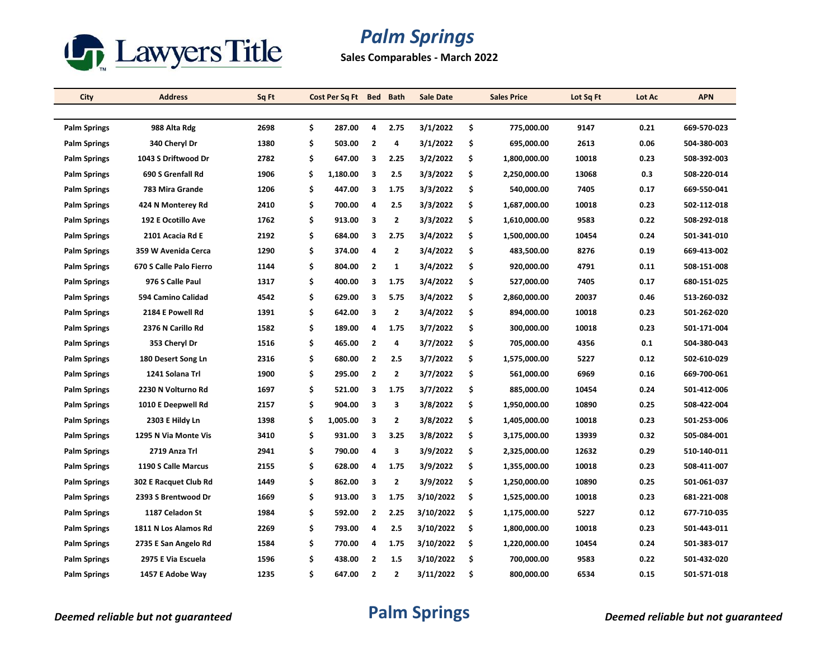

**Sales Comparables - March 2022**

| City                | <b>Address</b>          | Sq Ft | Cost Per Sq Ft Bed Bath |                         |                | <b>Sale Date</b> | <b>Sales Price</b> | Lot Sq Ft | Lot Ac | <b>APN</b>  |
|---------------------|-------------------------|-------|-------------------------|-------------------------|----------------|------------------|--------------------|-----------|--------|-------------|
|                     |                         |       |                         |                         |                |                  |                    |           |        |             |
| <b>Palm Springs</b> | 988 Alta Rdg            | 2698  | \$<br>287.00            | 4                       | 2.75           | 3/1/2022         | \$<br>775,000.00   | 9147      | 0.21   | 669-570-023 |
| <b>Palm Springs</b> | 340 Cheryl Dr           | 1380  | \$<br>503.00            | $\overline{2}$          | 4              | 3/1/2022         | \$<br>695,000.00   | 2613      | 0.06   | 504-380-003 |
| <b>Palm Springs</b> | 1043 S Driftwood Dr     | 2782  | \$<br>647.00            | 3                       | 2.25           | 3/2/2022         | \$<br>1,800,000.00 | 10018     | 0.23   | 508-392-003 |
| <b>Palm Springs</b> | 690 S Grenfall Rd       | 1906  | \$<br>1,180.00          | 3                       | 2.5            | 3/3/2022         | \$<br>2,250,000.00 | 13068     | 0.3    | 508-220-014 |
| <b>Palm Springs</b> | 783 Mira Grande         | 1206  | \$<br>447.00            | 3                       | 1.75           | 3/3/2022         | \$<br>540,000.00   | 7405      | 0.17   | 669-550-041 |
| <b>Palm Springs</b> | 424 N Monterey Rd       | 2410  | \$<br>700.00            | $\overline{\mathbf{a}}$ | 2.5            | 3/3/2022         | \$<br>1,687,000.00 | 10018     | 0.23   | 502-112-018 |
| <b>Palm Springs</b> | 192 E Ocotillo Ave      | 1762  | \$<br>913.00            | 3                       | $\overline{2}$ | 3/3/2022         | \$<br>1,610,000.00 | 9583      | 0.22   | 508-292-018 |
| <b>Palm Springs</b> | 2101 Acacia Rd E        | 2192  | \$<br>684.00            | 3                       | 2.75           | 3/4/2022         | \$<br>1,500,000.00 | 10454     | 0.24   | 501-341-010 |
| <b>Palm Springs</b> | 359 W Avenida Cerca     | 1290  | \$<br>374.00            | $\overline{\mathbf{a}}$ | $\mathbf{2}$   | 3/4/2022         | \$<br>483,500.00   | 8276      | 0.19   | 669-413-002 |
| <b>Palm Springs</b> | 670 S Calle Palo Fierro | 1144  | \$<br>804.00            | $\overline{2}$          | 1              | 3/4/2022         | \$<br>920,000.00   | 4791      | 0.11   | 508-151-008 |
| <b>Palm Springs</b> | 976 S Calle Paul        | 1317  | \$<br>400.00            | 3                       | 1.75           | 3/4/2022         | \$<br>527,000.00   | 7405      | 0.17   | 680-151-025 |
| <b>Palm Springs</b> | 594 Camino Calidad      | 4542  | \$<br>629.00            | 3                       | 5.75           | 3/4/2022         | \$<br>2,860,000.00 | 20037     | 0.46   | 513-260-032 |
| <b>Palm Springs</b> | 2184 E Powell Rd        | 1391  | \$<br>642.00            | 3                       | $\overline{2}$ | 3/4/2022         | \$<br>894,000.00   | 10018     | 0.23   | 501-262-020 |
| <b>Palm Springs</b> | 2376 N Carillo Rd       | 1582  | \$<br>189.00            | 4                       | 1.75           | 3/7/2022         | \$<br>300,000.00   | 10018     | 0.23   | 501-171-004 |
| <b>Palm Springs</b> | 353 Cheryl Dr           | 1516  | \$<br>465.00            | $\overline{2}$          | 4              | 3/7/2022         | \$<br>705,000.00   | 4356      | 0.1    | 504-380-043 |
| <b>Palm Springs</b> | 180 Desert Song Ln      | 2316  | \$<br>680.00            | $\overline{2}$          | 2.5            | 3/7/2022         | \$<br>1,575,000.00 | 5227      | 0.12   | 502-610-029 |
| <b>Palm Springs</b> | 1241 Solana Trl         | 1900  | \$<br>295.00            | $\overline{2}$          | $\overline{2}$ | 3/7/2022         | \$<br>561,000.00   | 6969      | 0.16   | 669-700-061 |
| <b>Palm Springs</b> | 2230 N Volturno Rd      | 1697  | \$<br>521.00            | 3                       | 1.75           | 3/7/2022         | \$<br>885,000.00   | 10454     | 0.24   | 501-412-006 |
| <b>Palm Springs</b> | 1010 E Deepwell Rd      | 2157  | \$<br>904.00            | 3                       | 3              | 3/8/2022         | \$<br>1,950,000.00 | 10890     | 0.25   | 508-422-004 |
| <b>Palm Springs</b> | 2303 E Hildy Ln         | 1398  | \$<br>1,005.00          | 3                       | $\mathbf{2}$   | 3/8/2022         | \$<br>1,405,000.00 | 10018     | 0.23   | 501-253-006 |
| <b>Palm Springs</b> | 1295 N Via Monte Vis    | 3410  | \$<br>931.00            | 3                       | 3.25           | 3/8/2022         | \$<br>3,175,000.00 | 13939     | 0.32   | 505-084-001 |
| <b>Palm Springs</b> | 2719 Anza Trl           | 2941  | \$<br>790.00            | 4                       | 3              | 3/9/2022         | \$<br>2,325,000.00 | 12632     | 0.29   | 510-140-011 |
| <b>Palm Springs</b> | 1190 S Calle Marcus     | 2155  | \$<br>628.00            | 4                       | 1.75           | 3/9/2022         | \$<br>1,355,000.00 | 10018     | 0.23   | 508-411-007 |
| <b>Palm Springs</b> | 302 E Racquet Club Rd   | 1449  | \$<br>862.00            | 3                       | $\overline{2}$ | 3/9/2022         | \$<br>1,250,000.00 | 10890     | 0.25   | 501-061-037 |
| <b>Palm Springs</b> | 2393 S Brentwood Dr     | 1669  | \$<br>913.00            | 3                       | 1.75           | 3/10/2022        | \$<br>1,525,000.00 | 10018     | 0.23   | 681-221-008 |
| <b>Palm Springs</b> | 1187 Celadon St         | 1984  | \$<br>592.00            | $\overline{2}$          | 2.25           | 3/10/2022        | \$<br>1,175,000.00 | 5227      | 0.12   | 677-710-035 |
| <b>Palm Springs</b> | 1811 N Los Alamos Rd    | 2269  | \$<br>793.00            | 4                       | 2.5            | 3/10/2022        | \$<br>1,800,000.00 | 10018     | 0.23   | 501-443-011 |
| <b>Palm Springs</b> | 2735 E San Angelo Rd    | 1584  | \$<br>770.00            | 4                       | 1.75           | 3/10/2022        | \$<br>1,220,000.00 | 10454     | 0.24   | 501-383-017 |
| <b>Palm Springs</b> | 2975 E Via Escuela      | 1596  | \$<br>438.00            | $\overline{2}$          | 1.5            | 3/10/2022        | \$<br>700,000.00   | 9583      | 0.22   | 501-432-020 |
| <b>Palm Springs</b> | 1457 E Adobe Way        | 1235  | \$<br>647.00            | $\overline{2}$          | 2              | 3/11/2022        | \$<br>800,000.00   | 6534      | 0.15   | 501 571 018 |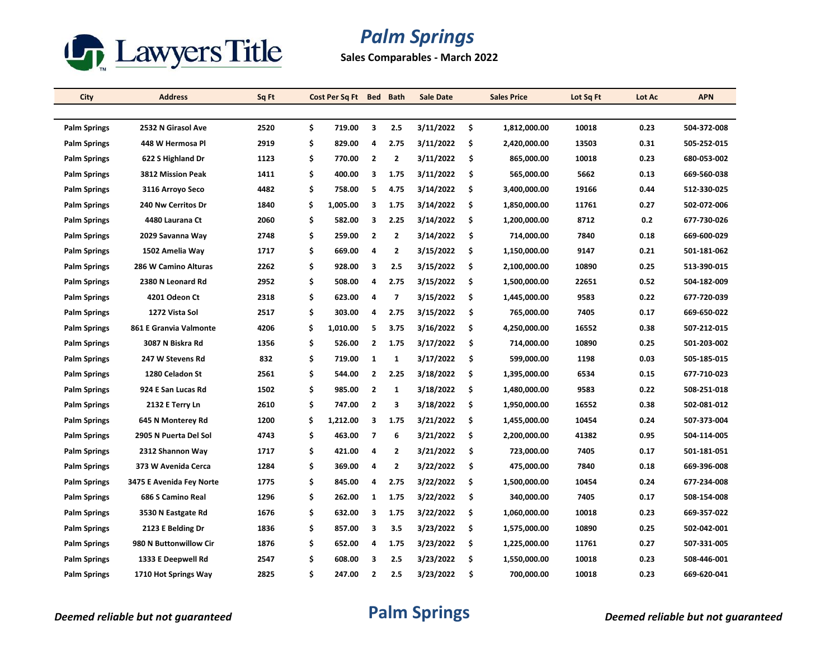

**Sales Comparables - March 2022**

| City                | <b>Address</b>           | Sq Ft | Cost Per Sq Ft Bed Bath |                |              | <b>Sale Date</b> |     | <b>Sales Price</b> | Lot Sq Ft | Lot Ac | <b>APN</b>  |
|---------------------|--------------------------|-------|-------------------------|----------------|--------------|------------------|-----|--------------------|-----------|--------|-------------|
|                     |                          |       |                         |                |              |                  |     |                    |           |        |             |
| <b>Palm Springs</b> | 2532 N Girasol Ave       | 2520  | \$<br>719.00            | 3              | 2.5          | 3/11/2022        | \$  | 1,812,000.00       | 10018     | 0.23   | 504-372-008 |
| <b>Palm Springs</b> | 448 W Hermosa Pl         | 2919  | \$<br>829.00            | 4              | 2.75         | 3/11/2022        | \$  | 2,420,000.00       | 13503     | 0.31   | 505-252-015 |
| <b>Palm Springs</b> | 622 S Highland Dr        | 1123  | \$<br>770.00            | $\mathbf{2}$   | $\mathbf{2}$ | 3/11/2022        | \$  | 865,000.00         | 10018     | 0.23   | 680-053-002 |
| <b>Palm Springs</b> | 3812 Mission Peak        | 1411  | \$<br>400.00            | 3              | 1.75         | 3/11/2022        | \$  | 565,000.00         | 5662      | 0.13   | 669-560-038 |
| <b>Palm Springs</b> | 3116 Arroyo Seco         | 4482  | \$<br>758.00            | 5              | 4.75         | 3/14/2022        | \$  | 3,400,000.00       | 19166     | 0.44   | 512-330-025 |
| <b>Palm Springs</b> | 240 Nw Cerritos Dr       | 1840  | \$<br>1,005.00          | 3              | 1.75         | 3/14/2022        | \$  | 1,850,000.00       | 11761     | 0.27   | 502-072-006 |
| <b>Palm Springs</b> | 4480 Laurana Ct          | 2060  | \$<br>582.00            | 3              | 2.25         | 3/14/2022        | \$  | 1,200,000.00       | 8712      | 0.2    | 677-730-026 |
| <b>Palm Springs</b> | 2029 Savanna Way         | 2748  | \$<br>259.00            | $\overline{2}$ | $\mathbf{2}$ | 3/14/2022        | \$  | 714,000.00         | 7840      | 0.18   | 669-600-029 |
| <b>Palm Springs</b> | 1502 Amelia Way          | 1717  | \$<br>669.00            | 4              | 2            | 3/15/2022        | \$  | 1,150,000.00       | 9147      | 0.21   | 501-181-062 |
| <b>Palm Springs</b> | 286 W Camino Alturas     | 2262  | \$<br>928.00            | 3              | 2.5          | 3/15/2022        | \$  | 2,100,000.00       | 10890     | 0.25   | 513-390-015 |
| <b>Palm Springs</b> | 2380 N Leonard Rd        | 2952  | \$<br>508.00            | 4              | 2.75         | 3/15/2022        | \$  | 1,500,000.00       | 22651     | 0.52   | 504-182-009 |
| <b>Palm Springs</b> | 4201 Odeon Ct            | 2318  | \$<br>623.00            | 4              | 7            | 3/15/2022        | \$  | 1,445,000.00       | 9583      | 0.22   | 677-720-039 |
| <b>Palm Springs</b> | 1272 Vista Sol           | 2517  | \$<br>303.00            | 4              | 2.75         | 3/15/2022        | \$  | 765,000.00         | 7405      | 0.17   | 669-650-022 |
| <b>Palm Springs</b> | 861 E Granvia Valmonte   | 4206  | \$<br>1,010.00          | 5              | 3.75         | 3/16/2022        | \$  | 4,250,000.00       | 16552     | 0.38   | 507-212-015 |
| <b>Palm Springs</b> | 3087 N Biskra Rd         | 1356  | \$<br>526.00            | $\overline{2}$ | 1.75         | 3/17/2022        | \$  | 714,000.00         | 10890     | 0.25   | 501-203-002 |
| <b>Palm Springs</b> | 247 W Stevens Rd         | 832   | \$<br>719.00            | $\mathbf{1}$   | 1            | 3/17/2022        | \$  | 599,000.00         | 1198      | 0.03   | 505-185-015 |
| <b>Palm Springs</b> | 1280 Celadon St          | 2561  | \$<br>544.00            | $\overline{2}$ | 2.25         | 3/18/2022        | \$  | 1,395,000.00       | 6534      | 0.15   | 677-710-023 |
| <b>Palm Springs</b> | 924 E San Lucas Rd       | 1502  | \$<br>985.00            | $\overline{2}$ | 1            | 3/18/2022        | \$  | 1,480,000.00       | 9583      | 0.22   | 508 251 018 |
| <b>Palm Springs</b> | 2132 E Terry Ln          | 2610  | \$<br>747.00            | $\overline{2}$ | 3            | 3/18/2022        | \$  | 1,950,000.00       | 16552     | 0.38   | 502-081-012 |
| <b>Palm Springs</b> | 645 N Monterey Rd        | 1200  | \$<br>1,212.00          | 3              | 1.75         | 3/21/2022        | \$  | 1,455,000.00       | 10454     | 0.24   | 507-373-004 |
| <b>Palm Springs</b> | 2905 N Puerta Del Sol    | 4743  | \$<br>463.00            | $\overline{7}$ | 6            | 3/21/2022        | \$  | 2,200,000.00       | 41382     | 0.95   | 504-114-005 |
| <b>Palm Springs</b> | 2312 Shannon Way         | 1717  | \$<br>421.00            | 4              | 2            | 3/21/2022        | \$  | 723,000.00         | 7405      | 0.17   | 501-181-051 |
| <b>Palm Springs</b> | 373 W Avenida Cerca      | 1284  | \$<br>369.00            | 4              | $\mathbf{2}$ | 3/22/2022        | \$  | 475,000.00         | 7840      | 0.18   | 669-396-008 |
| <b>Palm Springs</b> | 3475 E Avenida Fey Norte | 1775  | \$<br>845.00            | 4              | 2.75         | 3/22/2022        | \$  | 1,500,000.00       | 10454     | 0.24   | 677-234-008 |
| <b>Palm Springs</b> | 686 S Camino Real        | 1296  | \$<br>262.00            | 1              | 1.75         | 3/22/2022        | \$  | 340,000.00         | 7405      | 0.17   | 508-154-008 |
| <b>Palm Springs</b> | 3530 N Eastgate Rd       | 1676  | \$<br>632.00            | 3              | 1.75         | 3/22/2022        | \$  | 1,060,000.00       | 10018     | 0.23   | 669-357-022 |
| <b>Palm Springs</b> | 2123 E Belding Dr        | 1836  | \$<br>857.00            | 3              | 3.5          | 3/23/2022        | \$  | 1,575,000.00       | 10890     | 0.25   | 502-042-001 |
| <b>Palm Springs</b> | 980 N Buttonwillow Cir   | 1876  | \$<br>652.00            | 4              | 1.75         | 3/23/2022        | \$  | 1,225,000.00       | 11761     | 0.27   | 507-331-005 |
| <b>Palm Springs</b> | 1333 E Deepwell Rd       | 2547  | \$<br>608.00            | 3              | 2.5          | 3/23/2022        | \$. | 1,550,000.00       | 10018     | 0.23   | 508-446-001 |
| <b>Palm Springs</b> | 1710 Hot Springs Way     | 2825  | \$<br>247.00            | $\overline{2}$ | 2.5          | 3/23/2022        | \$  | 700,000.00         | 10018     | 0.23   | 669-620-041 |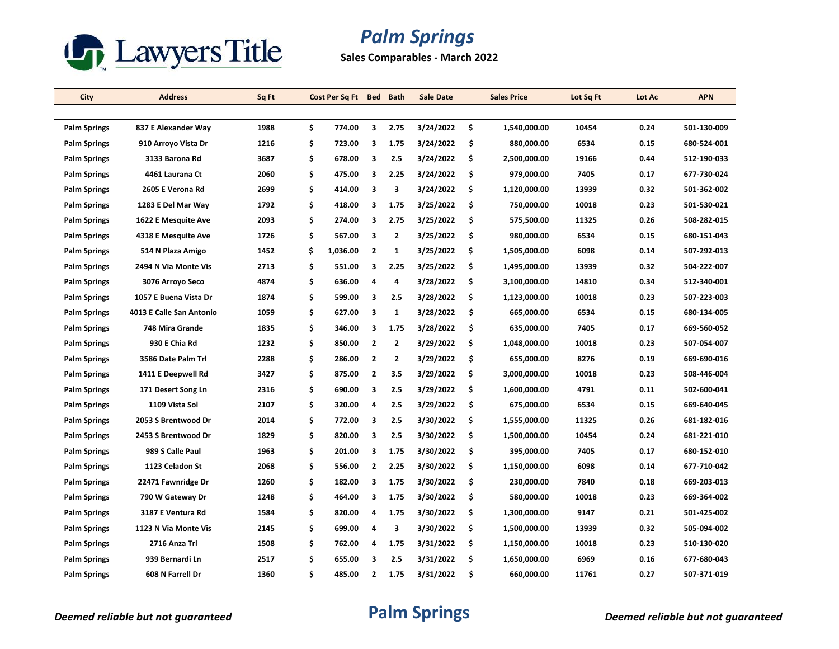

**Sales Comparables - March 2022**

| City                | <b>Address</b>           | Sq Ft | Cost Per Sq Ft | <b>Bed</b>              | <b>Bath</b>  | <b>Sale Date</b> |     | <b>Sales Price</b> | Lot Sq Ft | Lot Ac | <b>APN</b>  |
|---------------------|--------------------------|-------|----------------|-------------------------|--------------|------------------|-----|--------------------|-----------|--------|-------------|
|                     |                          |       |                |                         |              |                  |     |                    |           |        |             |
| <b>Palm Springs</b> | 837 E Alexander Way      | 1988  | \$<br>774.00   | 3                       | 2.75         | 3/24/2022        | \$  | 1,540,000.00       | 10454     | 0.24   | 501-130-009 |
| <b>Palm Springs</b> | 910 Arroyo Vista Dr      | 1216  | \$<br>723.00   | 3                       | 1.75         | 3/24/2022        | \$  | 880,000.00         | 6534      | 0.15   | 680-524-001 |
| <b>Palm Springs</b> | 3133 Barona Rd           | 3687  | \$<br>678.00   | 3                       | 2.5          | 3/24/2022        | \$  | 2,500,000.00       | 19166     | 0.44   | 512-190-033 |
| <b>Palm Springs</b> | 4461 Laurana Ct          | 2060  | \$<br>475.00   | 3                       | 2.25         | 3/24/2022        | \$  | 979,000.00         | 7405      | 0.17   | 677-730-024 |
| <b>Palm Springs</b> | 2605 E Verona Rd         | 2699  | \$<br>414.00   | 3                       | 3            | 3/24/2022        | \$  | 1,120,000.00       | 13939     | 0.32   | 501-362-002 |
| <b>Palm Springs</b> | 1283 E Del Mar Way       | 1792  | \$<br>418.00   | 3                       | 1.75         | 3/25/2022        | -\$ | 750,000.00         | 10018     | 0.23   | 501-530-021 |
| <b>Palm Springs</b> | 1622 E Mesquite Ave      | 2093  | \$<br>274.00   | 3                       | 2.75         | 3/25/2022        | \$  | 575,500.00         | 11325     | 0.26   | 508-282-015 |
| <b>Palm Springs</b> | 4318 E Mesquite Ave      | 1726  | \$<br>567.00   | 3                       | $\mathbf{2}$ | 3/25/2022        | \$  | 980,000.00         | 6534      | 0.15   | 680-151-043 |
| <b>Palm Springs</b> | 514 N Plaza Amigo        | 1452  | \$<br>1,036.00 | $\overline{2}$          | $\mathbf{1}$ | 3/25/2022        | \$  | 1,505,000.00       | 6098      | 0.14   | 507-292-013 |
| <b>Palm Springs</b> | 2494 N Via Monte Vis     | 2713  | \$<br>551.00   | 3                       | 2.25         | 3/25/2022        | \$  | 1,495,000.00       | 13939     | 0.32   | 504-222-007 |
| <b>Palm Springs</b> | 3076 Arroyo Seco         | 4874  | \$<br>636.00   | 4                       | 4            | 3/28/2022        | \$  | 3,100,000.00       | 14810     | 0.34   | 512-340-001 |
| <b>Palm Springs</b> | 1057 E Buena Vista Dr    | 1874  | \$<br>599.00   | 3                       | 2.5          | 3/28/2022        | \$  | 1,123,000.00       | 10018     | 0.23   | 507-223-003 |
| <b>Palm Springs</b> | 4013 E Calle San Antonio | 1059  | \$<br>627.00   | 3                       | $\mathbf{1}$ | 3/28/2022        | \$  | 665,000.00         | 6534      | 0.15   | 680-134-005 |
| <b>Palm Springs</b> | 748 Mira Grande          | 1835  | \$<br>346.00   | 3                       | 1.75         | 3/28/2022        | \$  | 635,000.00         | 7405      | 0.17   | 669-560-052 |
| <b>Palm Springs</b> | 930 E Chia Rd            | 1232  | \$<br>850.00   | $\overline{2}$          | $\mathbf{2}$ | 3/29/2022        | \$  | 1,048,000.00       | 10018     | 0.23   | 507-054-007 |
| <b>Palm Springs</b> | 3586 Date Palm Trl       | 2288  | \$<br>286.00   | $\mathbf{2}$            | $\mathbf{2}$ | 3/29/2022        | \$  | 655,000.00         | 8276      | 0.19   | 669-690-016 |
| <b>Palm Springs</b> | 1411 E Deepwell Rd       | 3427  | \$<br>875.00   | $\overline{2}$          | 3.5          | 3/29/2022        | \$  | 3,000,000.00       | 10018     | 0.23   | 508-446-004 |
| <b>Palm Springs</b> | 171 Desert Song Ln       | 2316  | \$<br>690.00   | 3                       | 2.5          | 3/29/2022        | \$  | 1,600,000.00       | 4791      | 0.11   | 502-600-041 |
| <b>Palm Springs</b> | 1109 Vista Sol           | 2107  | \$<br>320.00   | 4                       | 2.5          | 3/29/2022        | \$  | 675,000.00         | 6534      | 0.15   | 669-640-045 |
| <b>Palm Springs</b> | 2053 S Brentwood Dr      | 2014  | \$<br>772.00   | 3                       | 2.5          | 3/30/2022        | \$  | 1,555,000.00       | 11325     | 0.26   | 681-182-016 |
| <b>Palm Springs</b> | 2453 S Brentwood Dr      | 1829  | \$<br>820.00   | $\overline{\mathbf{3}}$ | 2.5          | 3/30/2022        | \$  | 1,500,000.00       | 10454     | 0.24   | 681-221-010 |
| <b>Palm Springs</b> | 989 S Calle Paul         | 1963  | \$<br>201.00   | 3                       | 1.75         | 3/30/2022        | \$  | 395,000.00         | 7405      | 0.17   | 680-152-010 |
| <b>Palm Springs</b> | 1123 Celadon St          | 2068  | \$<br>556.00   | $\overline{2}$          | 2.25         | 3/30/2022        | \$  | 1,150,000.00       | 6098      | 0.14   | 677-710-042 |
| <b>Palm Springs</b> | 22471 Fawnridge Dr       | 1260  | \$<br>182.00   | 3                       | 1.75         | 3/30/2022        | \$  | 230,000.00         | 7840      | 0.18   | 669-203-013 |
| <b>Palm Springs</b> | 790 W Gateway Dr         | 1248  | \$<br>464.00   | 3                       | 1.75         | 3/30/2022        | \$  | 580,000.00         | 10018     | 0.23   | 669-364-002 |
| <b>Palm Springs</b> | 3187 E Ventura Rd        | 1584  | \$<br>820.00   | 4                       | 1.75         | 3/30/2022        | \$  | 1,300,000.00       | 9147      | 0.21   | 501-425-002 |
| <b>Palm Springs</b> | 1123 N Via Monte Vis     | 2145  | \$<br>699.00   | 4                       | 3            | 3/30/2022        | \$  | 1,500,000.00       | 13939     | 0.32   | 505-094-002 |
| <b>Palm Springs</b> | 2716 Anza Trl            | 1508  | \$<br>762.00   | 4                       | 1.75         | 3/31/2022        | \$  | 1,150,000.00       | 10018     | 0.23   | 510-130-020 |
| <b>Palm Springs</b> | 939 Bernardi Ln          | 2517  | \$<br>655.00   | 3                       | 2.5          | 3/31/2022        | \$. | 1,650,000.00       | 6969      | 0.16   | 677-680-043 |
| <b>Palm Springs</b> | 608 N Farrell Dr         | 1360  | \$<br>485.00   | $\overline{2}$          | 1.75         | 3/31/2022        | \$  | 660,000.00         | 11761     | 0.27   | 507-371-019 |